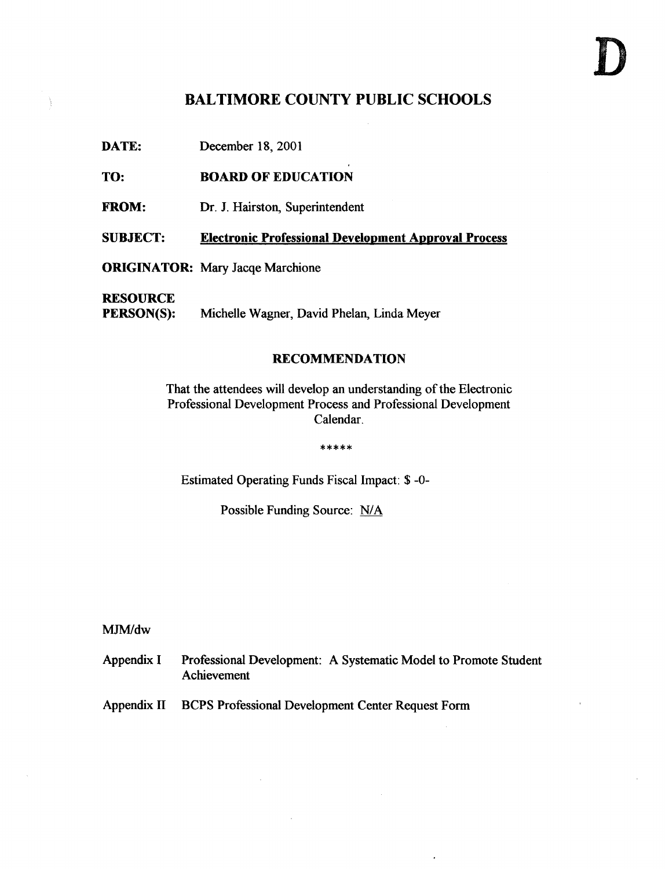#### BALTIMORE COUNTY PUBLIC SCHOOLS

- DATE: December 18, <sup>2001</sup>
- TO: BOARD OF EDUCATION
- FROM: Dr. J. Hairston, Superintendent

SUBJECT: Electronic Professional Development Approval Process

ORIGINATOR: Mary Jacqe Marchione

**RESOURCE**<br>PERSON(S):

Ì

Michelle Wagner, David Phelan, Linda Meyer

#### RECOMMENDATION

That the attendees will develop an understanding of the Electronic Professional Development Process and Professional Development Calendar.

\*\*\*\*\*

Estimated Operating Funds Fiscal Impact : \$ -0-

Possible Funding Source: N/A

MJM/dw

- Appendix I Professional Development: A Systematic Model to Promote Student Achievement
- Appendix II BCPS Professional Development Center Request Form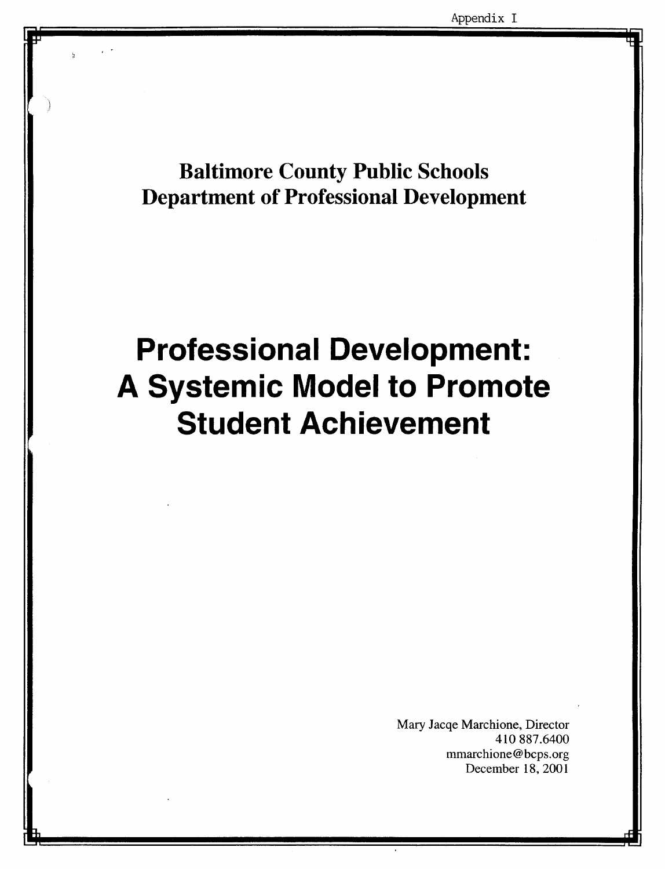# Baltimore County Public Schools Department of Professional Development

# Professional Development: A Systemic Model to Promote Student Achievement

Mary Jacqe Marchione, Director 410 887.6400 mmarchione@bcps.org December 18, 2001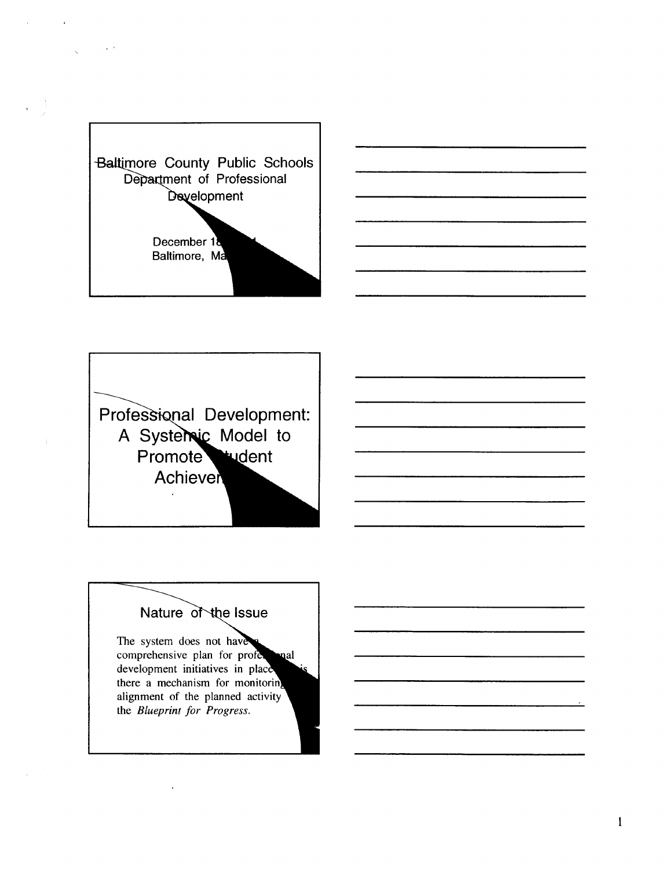



Professional Development: A Systemic Model to Promote dudent **Achieven** 

## Nature of the Issue

The system does not hav comprehensive plan for pro development initiatives in place there a mechanism for monitorin, alignment of the planned activity the Blueprint for Progress.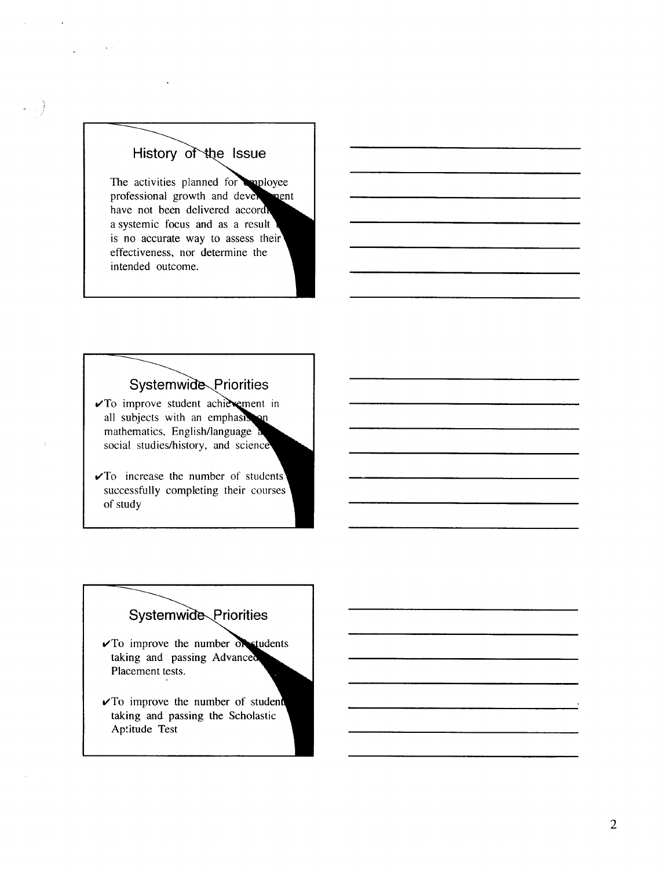## History of the Issue

The activities planned for amployee<br>professional growth and developed leven nei have not been delivered accord, a systemic focus and as a result is no accurate way to assess their effectiveness, nor determine the intended outcome.

### Systemwide Priorities

- vTo improve student achievement in all subjects with an emphasi mathematics, English/language social studies/history, and science
- $\sqrt{T}$ o increase the number of students' successfully completing their courses of study

## Systemwide Priorities

- $\sqrt{T}$ o improve the number de students taking and passing Advance Placement tests.
- $\sqrt{T}$ o improve the number of student taking and passing the Scholastic Aptitude Test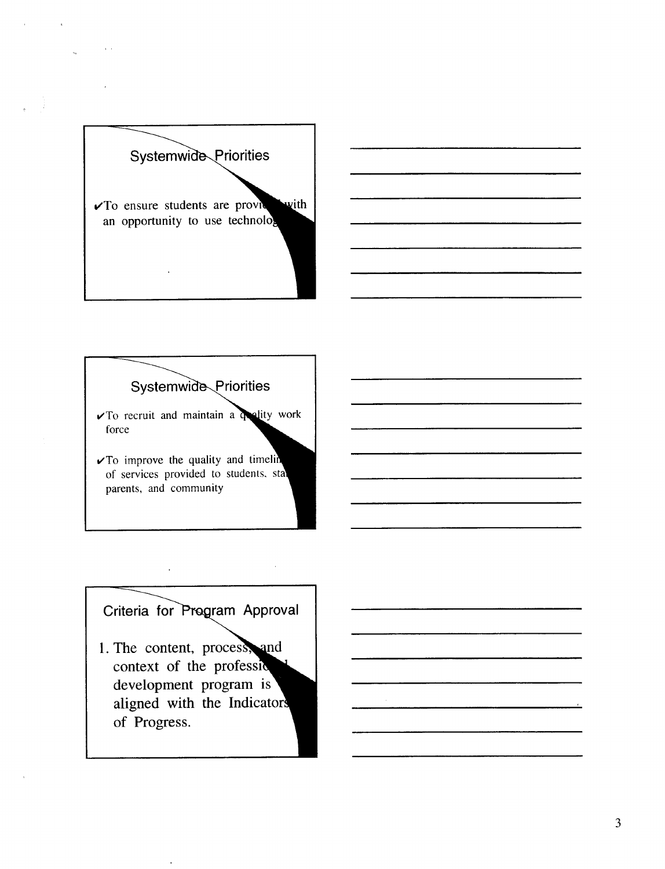

## Systemwide Priorities

- To recruit and maintain a quality work force
- $\sqrt{T}$  improve the quality and timeling of services provided to students, sta parents, and community

### Criteria for Program Approval

1. The content, process, and context of the professi development program is aligned with the Indicator of Progress.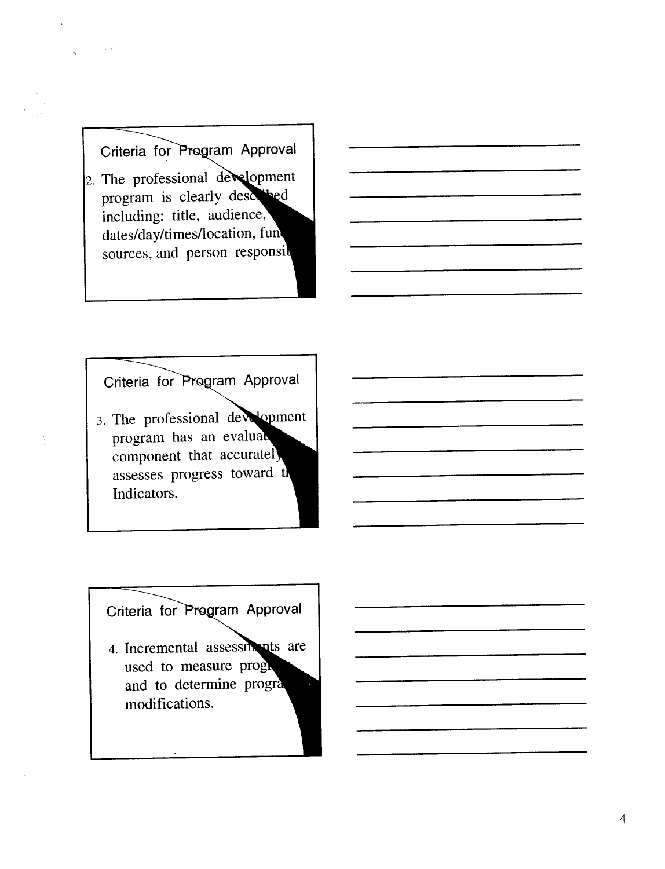#### Criteria for Program Approval

2. The professional development program is clearly described including: title, audience, dates/day/times/location, fun sources, and person responsi

Criteria for Program Approval

3. The professional development program has an evalua component that accurately assesses progress toward th Indicators.

Criteria for Program Approval

4. Incremental assessments are used to measure pro and to determine progr modifications .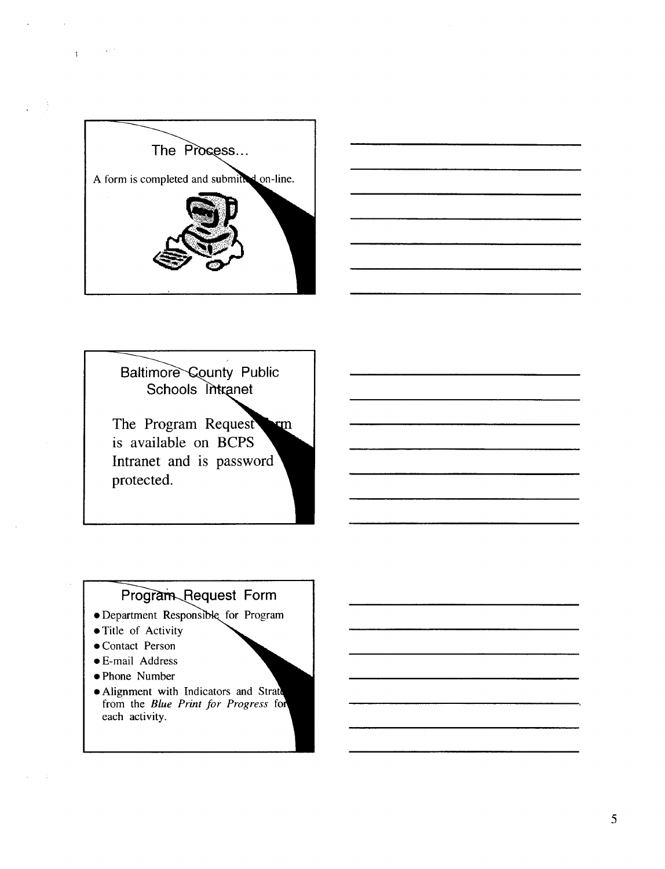

 $\mathbf{t}$ 



**Baltimore County Public** Schools Intranet The Program Request  $\mathbf{m}$ is available on BCPS Intranet and is password protected.

#### Program Request Form

- · Department Responsible for Program
- Title of Activity
- Contact Person
- e E-mail Address
- Phone Number
- Alignment with Indicators and Strat from the Blue Print for Progress for each activity.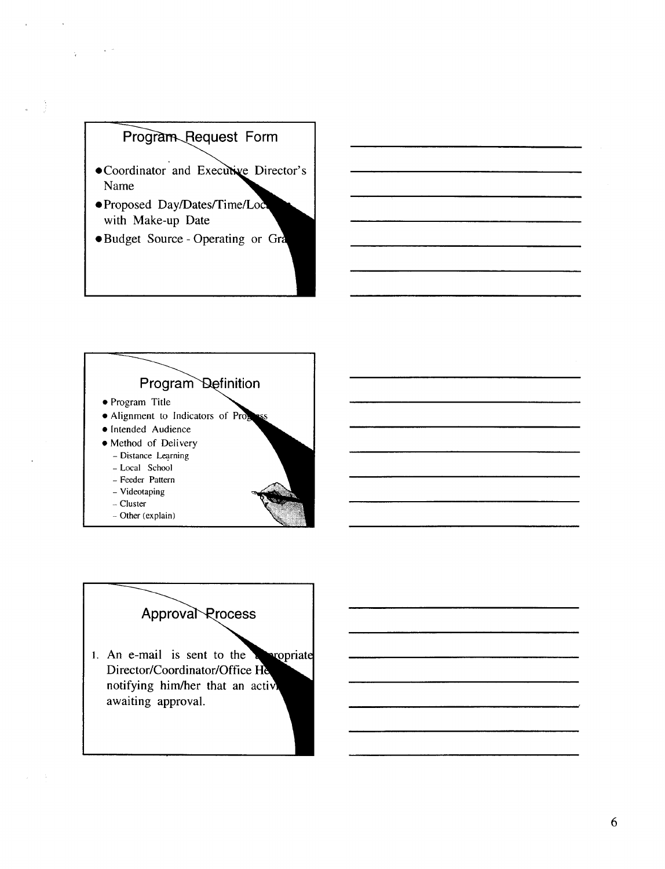



# Approval Rrocess

1. An e-mail is sent to the expriate Director/Coordinator/Office He notifying him/her that an activ awaiting approval.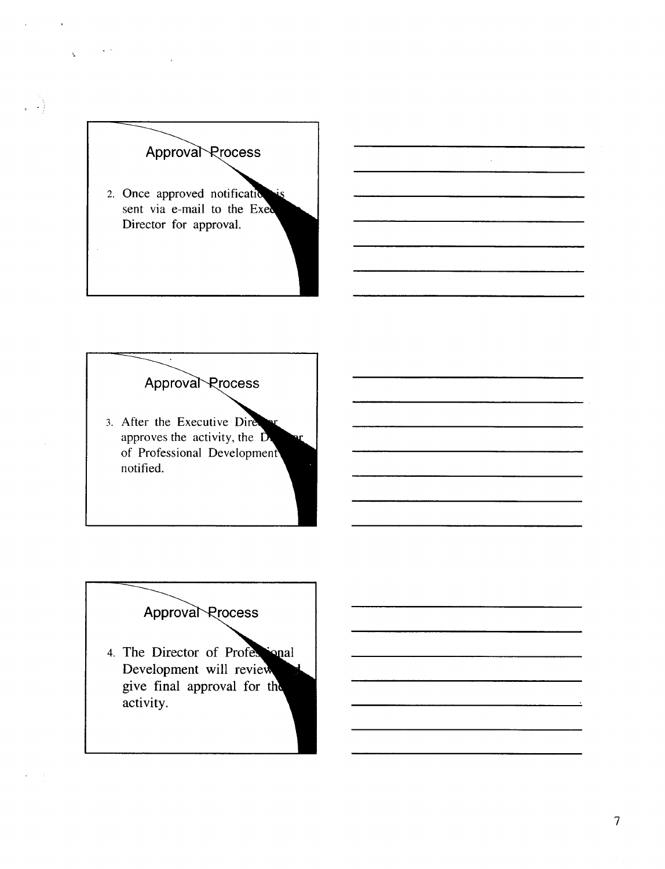

 $\frac{1}{2}$ 



## Approval Rrocess

4. The Director of Professional<br>Development will review give final approval for th activity.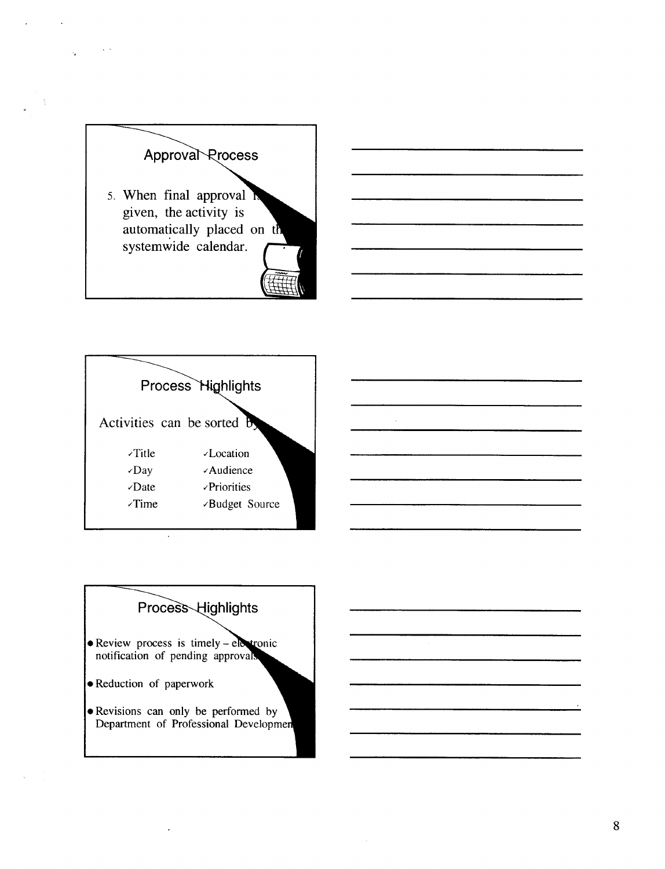# Approval Rrocess

5. When final approval  $\overline{a}$ given, the activity is automatically placed on the systemwide calendar.



## Process Highlights

- Review process is timely  $-e$ notification of pending approva
- Reduction of paperwork
- **Revisions can only be performed by** Department of Professional Developme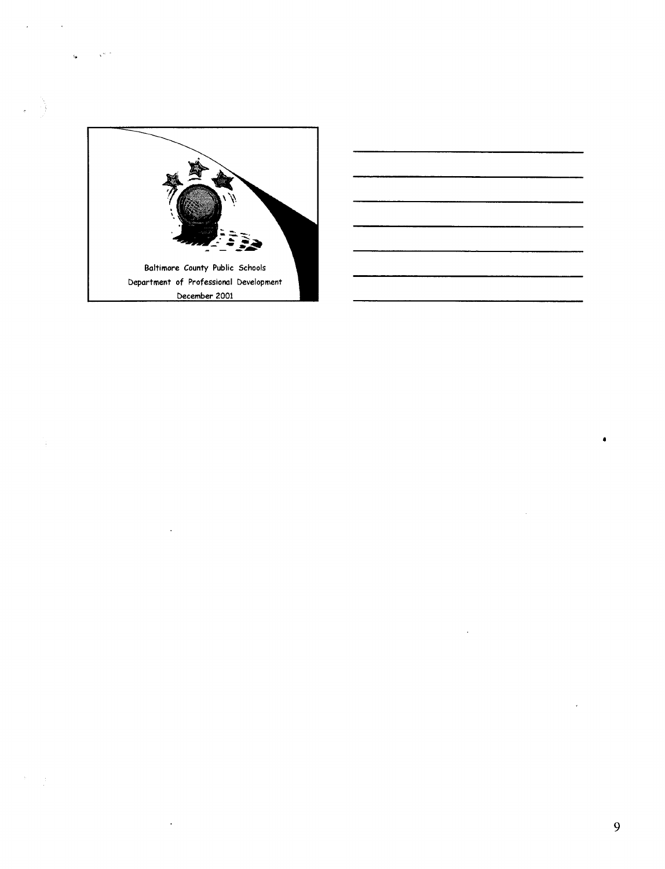

 $\ddot{\phantom{a}}$ 

 $\ddot{\phantom{a}}$ 

q.



 $\overline{\phantom{a}}$ 

 $\ddot{\phantom{1}}$